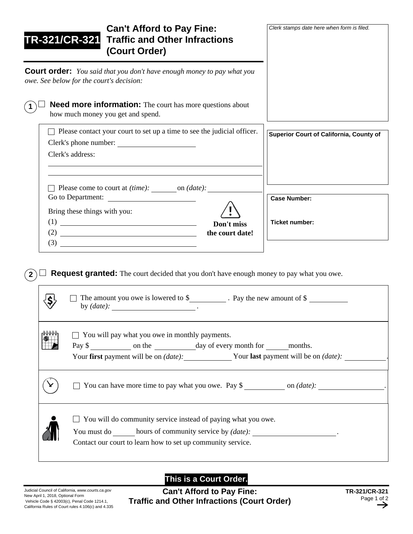| <b>Can't Afford to Pay Fine:</b><br>TR-321/CR-321<br><b>Traffic and Other Infractions</b><br>(Court Order)                                                                                                                                                   | Clerk stamps date here when form is filed.   |
|--------------------------------------------------------------------------------------------------------------------------------------------------------------------------------------------------------------------------------------------------------------|----------------------------------------------|
| <b>Court order:</b> You said that you don't have enough money to pay what you<br>owe. See below for the court's decision:                                                                                                                                    |                                              |
| <b>Need more information:</b> The court has more questions about<br>how much money you get and spend.                                                                                                                                                        |                                              |
| $\Box$ Please contact your court to set up a time to see the judicial officer.<br>Clerk's phone number:<br>Clerk's address:                                                                                                                                  | Superior Court of California, County of      |
| Please come to court at (time): _______ on (date): _____<br>Go to Department:<br>Bring these things with you:<br>(1)<br><u> Alexandria de la construcción de la construcción de la construcción de la construcción de la construcción de l</u><br>Don't miss | <b>Case Number:</b><br><b>Ticket number:</b> |
| (2)<br>the court date!<br><u> 1980 - Johann Barbara, martxa amerikan personal (h. 1980).</u><br>(3)<br><u> 1989 - Johann Barbara, martin a bhaile an t-Alban Barbara ann an t-Alban Barbara ann an t-Alban Barbara ann an</u>                                |                                              |

**2 Request granted:** The court decided that you don't have enough money to pay what you owe.

| The amount you owe is lowered to $\frac{1}{2}$ . Pay the new amount of $\frac{1}{2}$                                                                                                     |
|------------------------------------------------------------------------------------------------------------------------------------------------------------------------------------------|
| $\Box$ You will pay what you owe in monthly payments.<br>Pay \$<br>Your first payment will be on (date): Your last payment will be on (date):                                            |
| You can have more time to pay what you owe. Pay $\frac{1}{2}$ on $(date)$ :                                                                                                              |
| $\Box$ You will do community service instead of paying what you owe.<br>You must do hours of community service by (date):<br>Contact our court to learn how to set up community service. |

**This is a Court Order.**

**Can't Afford to Pay Fine: Traffic and Other Infractions (Court Order)**